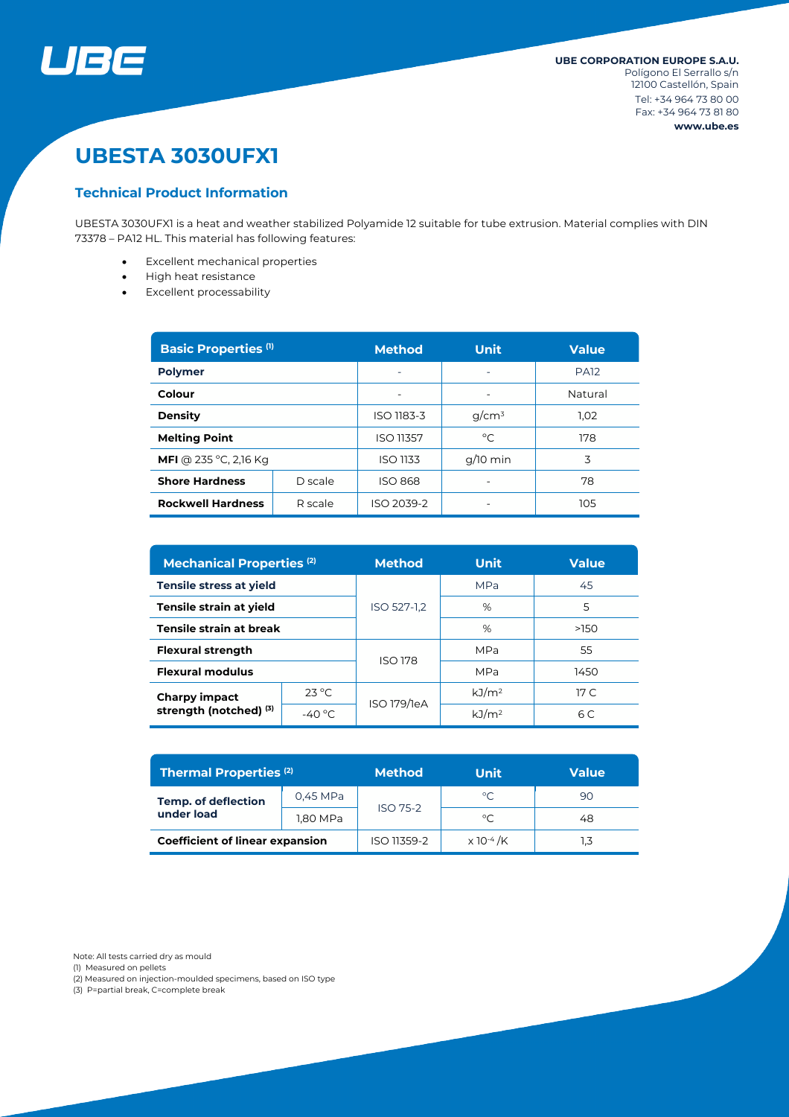

# **UBESTA 3030UFX1**

# **Technical Product Information**

UBESTA 3030UFX1 is a heat and weather stabilized Polyamide 12 suitable for tube extrusion. Material complies with DIN 73378 – PA12 HL. This material has following features:

- Excellent mechanical properties
- High heat resistance
- Excellent processability

| <b>Basic Properties (1)</b>         |         | <b>Method</b>   | <b>Unit</b>              | <b>Value</b> |  |
|-------------------------------------|---------|-----------------|--------------------------|--------------|--|
| <b>Polymer</b>                      |         |                 | $\overline{\phantom{0}}$ | <b>PA12</b>  |  |
| Colour                              |         |                 |                          | Natural      |  |
| <b>Density</b>                      |         | ISO 1183-3      | $q/cm^3$                 | 1.02         |  |
| <b>Melting Point</b>                |         | ISO 11357       | $^{\circ}C$              | 178          |  |
| <b>MFI</b> @ 235 °C, 2,16 Kg        |         | <b>ISO 1133</b> | $q/10$ min               | 3            |  |
| <b>Shore Hardness</b>               | D scale | <b>ISO 868</b>  |                          | 78           |  |
| <b>Rockwell Hardness</b><br>R scale |         | ISO 2039-2      |                          | 105          |  |

| <b>Mechanical Properties (2)</b>        |                  | <b>Method</b>  | <b>Unit</b>       | <b>Value</b>    |  |
|-----------------------------------------|------------------|----------------|-------------------|-----------------|--|
| Tensile stress at yield                 |                  |                | <b>MPa</b>        | 45              |  |
| Tensile strain at yield                 |                  | ISO 527-1,2    | %                 | 5               |  |
| Tensile strain at break                 |                  |                | %                 | >150            |  |
| <b>Flexural strength</b>                |                  | <b>ISO 178</b> | MPa               | 55              |  |
| <b>Flexural modulus</b>                 |                  |                | MPa               | 1450            |  |
| Charpy impact<br>strength (notched) (3) | $23^{\circ}$ C   | ISO 179/1eA    | kJ/m <sup>2</sup> | 17 <sup>C</sup> |  |
|                                         | -40 $^{\circ}$ C |                | kJ/m <sup>2</sup> | 6 C             |  |

| Thermal Properties <sup>(2)</sup>        |          | <b>Method</b> | Unit                         | <b>Value</b> |
|------------------------------------------|----------|---------------|------------------------------|--------------|
| <b>Temp. of deflection</b><br>under load | 0,45 MPa | ISO 75-2      | $^{\circ}$ C                 | 90           |
|                                          | 1,80 MPa |               | °C                           | 48           |
| <b>Coefficient of linear expansion</b>   |          | ISO 11359-2   | $\times$ 10 <sup>-4</sup> /K |              |

Note: All tests carried dry as mould

(1) Measured on pellets

(2) Measured on injection-moulded specimens, based on ISO type

(3) P=partial break, C=complete break